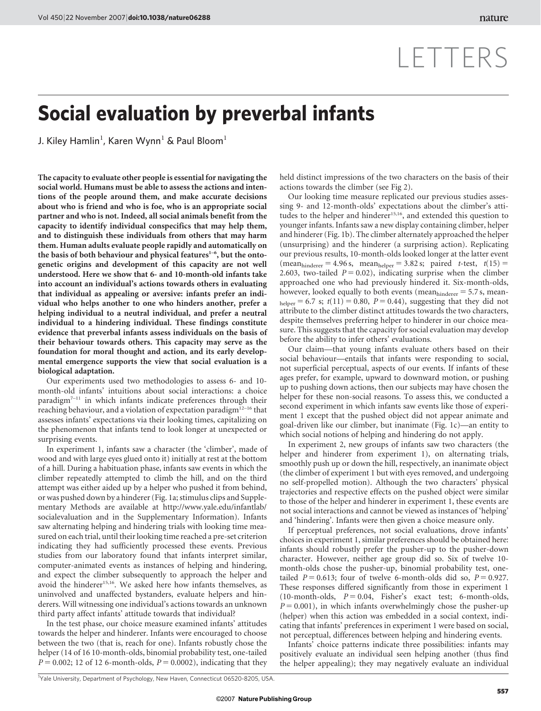## LETTERS

## Social evaluation by preverbal infants

J. Kiley Hamlin $^{\rm l}$ , Karen Wynn $^{\rm l}$  & Paul Bloom $^{\rm l}$ 

The capacity to evaluate other people is essential for navigating the social world. Humans must be able to assess the actions and intentions of the people around them, and make accurate decisions about who is friend and who is foe, who is an appropriate social partner and who is not. Indeed, all social animals benefit from the capacity to identify individual conspecifics that may help them, and to distinguish these individuals from others that may harm them. Human adults evaluate people rapidly and automatically on the basis of both behaviour and physical features<sup>1-6</sup>, but the ontogenetic origins and development of this capacity are not well understood. Here we show that 6- and 10-month-old infants take into account an individual's actions towards others in evaluating that individual as appealing or aversive: infants prefer an individual who helps another to one who hinders another, prefer a helping individual to a neutral individual, and prefer a neutral individual to a hindering individual. These findings constitute evidence that preverbal infants assess individuals on the basis of their behaviour towards others. This capacity may serve as the foundation for moral thought and action, and its early developmental emergence supports the view that social evaluation is a biological adaptation.

Our experiments used two methodologies to assess 6- and 10 month-old infants' intuitions about social interactions: a choice paradigm<sup>7-11</sup> in which infants indicate preferences through their reaching behaviour, and a violation of expectation paradigm12–16 that assesses infants' expectations via their looking times, capitalizing on the phenomenon that infants tend to look longer at unexpected or surprising events.

In experiment 1, infants saw a character (the 'climber', made of wood and with large eyes glued onto it) initially at rest at the bottom of a hill. During a habituation phase, infants saw events in which the climber repeatedly attempted to climb the hill, and on the third attempt was either aided up by a helper who pushed it from behind, or was pushed down by a hinderer (Fig. 1a; stimulus clips and Supplementary Methods are available at [http://www.yale.edu/infantlab/](http://www.yale.edu/infantlab/socialevaluation) [socialevaluation](http://www.yale.edu/infantlab/socialevaluation) and in the Supplementary Information). Infants saw alternating helping and hindering trials with looking time measured on each trial, until their looking time reached a pre-set criterion indicating they had sufficiently processed these events. Previous studies from our laboratory found that infants interpret similar, computer-animated events as instances of helping and hindering, and expect the climber subsequently to approach the helper and avoid the hinderer<sup>15,16</sup>. We asked here how infants themselves, as uninvolved and unaffected bystanders, evaluate helpers and hinderers. Will witnessing one individual's actions towards an unknown third party affect infants' attitude towards that individual?

In the test phase, our choice measure examined infants' attitudes towards the helper and hinderer. Infants were encouraged to choose between the two (that is, reach for one). Infants robustly chose the helper (14 of 16 10-month-olds, binomial probability test, one-tailed  $P = 0.002$ ; 12 of 12 6-month-olds,  $P = 0.0002$ ), indicating that they held distinct impressions of the two characters on the basis of their actions towards the climber (see Fig 2).

Our looking time measure replicated our previous studies assessing 9- and 12-month-olds' expectations about the climber's attitudes to the helper and hinderer<sup>15,16</sup>, and extended this question to younger infants. Infants saw a new display containing climber, helper and hinderer (Fig. 1b). The climber alternately approached the helper (unsurprising) and the hinderer (a surprising action). Replicating our previous results, 10-month-olds looked longer at the latter event  $(\text{mean}_{\text{hinderer}} = 4.96 \text{ s}, \text{ mean}_{\text{helper}} = 3.82 \text{ s}; \text{ paired } t\text{-test}, t(15) =$ 2.603, two-tailed  $P = 0.02$ ), indicating surprise when the climber approached one who had previously hindered it. Six-month-olds, however, looked equally to both events (mean $_{\text{hinderer}}$  = 5.7 s, mean- $_{\text{heller}}$  = 6.7 s; t(11) = 0.80, P = 0.44), suggesting that they did not attribute to the climber distinct attitudes towards the two characters, despite themselves preferring helper to hinderer in our choice measure. This suggests that the capacity for social evaluation may develop before the ability to infer others' evaluations.

Our claim—that young infants evaluate others based on their social behaviour—entails that infants were responding to social, not superficial perceptual, aspects of our events. If infants of these ages prefer, for example, upward to downward motion, or pushing up to pushing down actions, then our subjects may have chosen the helper for these non-social reasons. To assess this, we conducted a second experiment in which infants saw events like those of experiment 1 except that the pushed object did not appear animate and goal-driven like our climber, but inanimate (Fig. 1c)—an entity to which social notions of helping and hindering do not apply.

In experiment 2, new groups of infants saw two characters (the helper and hinderer from experiment 1), on alternating trials, smoothly push up or down the hill, respectively, an inanimate object (the climber of experiment 1 but with eyes removed, and undergoing no self-propelled motion). Although the two characters' physical trajectories and respective effects on the pushed object were similar to those of the helper and hinderer in experiment 1, these events are not social interactions and cannot be viewed as instances of 'helping' and 'hindering'. Infants were then given a choice measure only.

If perceptual preferences, not social evaluations, drove infants' choices in experiment 1, similar preferences should be obtained here: infants should robustly prefer the pusher-up to the pusher-down character. However, neither age group did so. Six of twelve 10 month-olds chose the pusher-up, binomial probability test, onetailed  $P = 0.613$ ; four of twelve 6-month-olds did so,  $P = 0.927$ . These responses differed significantly from those in experiment 1 (10-month-olds,  $P = 0.04$ , Fisher's exact test; 6-month-olds,  $P = 0.001$ ), in which infants overwhelmingly chose the pusher-up (helper) when this action was embedded in a social context, indicating that infants' preferences in experiment 1 were based on social, not perceptual, differences between helping and hindering events.

Infants' choice patterns indicate three possibilities: infants may positively evaluate an individual seen helping another (thus find the helper appealing); they may negatively evaluate an individual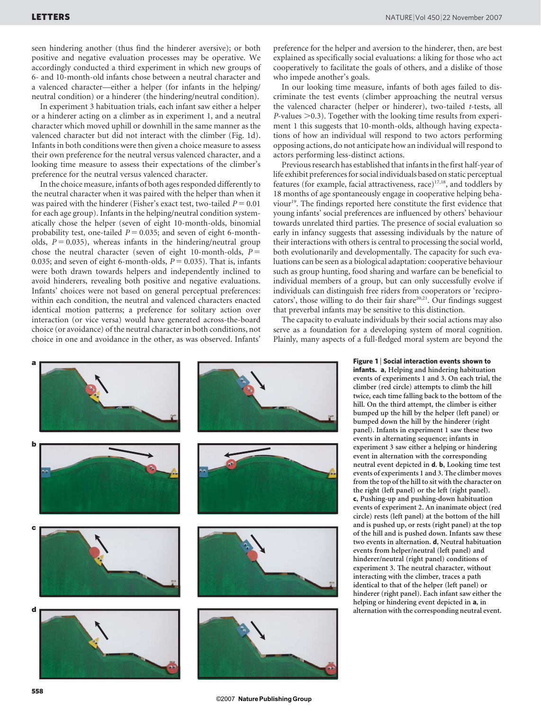seen hindering another (thus find the hinderer aversive); or both positive and negative evaluation processes may be operative. We accordingly conducted a third experiment in which new groups of 6- and 10-month-old infants chose between a neutral character and a valenced character—either a helper (for infants in the helping/ neutral condition) or a hinderer (the hindering/neutral condition).

In experiment 3 habituation trials, each infant saw either a helper or a hinderer acting on a climber as in experiment 1, and a neutral character which moved uphill or downhill in the same manner as the valenced character but did not interact with the climber (Fig. 1d). Infants in both conditions were then given a choice measure to assess their own preference for the neutral versus valenced character, and a looking time measure to assess their expectations of the climber's preference for the neutral versus valenced character.

In the choice measure, infants of both ages responded differently to the neutral character when it was paired with the helper than when it was paired with the hinderer (Fisher's exact test, two-tailed  $P = 0.01$ for each age group). Infants in the helping/neutral condition systematically chose the helper (seven of eight 10-month-olds, binomial probability test, one-tailed  $P = 0.035$ ; and seven of eight 6-montholds,  $P = 0.035$ ), whereas infants in the hindering/neutral group chose the neutral character (seven of eight 10-month-olds,  $P =$ 0.035; and seven of eight 6-month-olds,  $P = 0.035$ ). That is, infants were both drawn towards helpers and independently inclined to avoid hinderers, revealing both positive and negative evaluations. Infants' choices were not based on general perceptual preferences: within each condition, the neutral and valenced characters enacted identical motion patterns; a preference for solitary action over interaction (or vice versa) would have generated across-the-board choice (or avoidance) of the neutral character in both conditions, not choice in one and avoidance in the other, as was observed. Infants'

preference for the helper and aversion to the hinderer, then, are best explained as specifically social evaluations: a liking for those who act cooperatively to facilitate the goals of others, and a dislike of those who impede another's goals.

In our looking time measure, infants of both ages failed to discriminate the test events (climber approaching the neutral versus the valenced character (helper or hinderer), two-tailed t-tests, all  $P$ -values  $> 0.3$ ). Together with the looking time results from experiment 1 this suggests that 10-month-olds, although having expectations of how an individual will respond to two actors performing opposing actions, do not anticipate how an individual will respond to actors performing less-distinct actions.

Previous research has established that infants in the first half-year of life exhibit preferences for social individuals based on static perceptual features (for example, facial attractiveness, race) $17,18$ , and toddlers by 18 months of age spontaneously engage in cooperative helping behaviour<sup>19</sup>. The findings reported here constitute the first evidence that young infants' social preferences are influenced by others' behaviour towards unrelated third parties. The presence of social evaluation so early in infancy suggests that assessing individuals by the nature of their interactions with others is central to processing the social world, both evolutionarily and developmentally. The capacity for such evaluations can be seen as a biological adaptation: cooperative behaviour such as group hunting, food sharing and warfare can be beneficial to individual members of a group, but can only successfully evolve if individuals can distinguish free riders from cooperators or 'reciprocators', those willing to do their fair share<sup>20,21</sup>. Our findings suggest that preverbal infants may be sensitive to this distinction.

The capacity to evaluate individuals by their social actions may also serve as a foundation for a developing system of moral cognition. Plainly, many aspects of a full-fledged moral system are beyond the



Figure 1 | Social interaction events shown to infants. a, Helping and hindering habituation events of experiments 1 and 3. On each trial, the climber (red circle) attempts to climb the hill twice, each time falling back to the bottom of the hill. On the third attempt, the climber is either bumped up the hill by the helper (left panel) or bumped down the hill by the hinderer (right panel). Infants in experiment 1 saw these two events in alternating sequence; infants in experiment 3 saw either a helping or hindering event in alternation with the corresponding neutral event depicted in d. b, Looking time test events of experiments 1 and 3. The climber moves from the top of the hill to sit with the character on the right (left panel) or the left (right panel). c, Pushing-up and pushing-down habituation events of experiment 2. An inanimate object (red circle) rests (left panel) at the bottom of the hill and is pushed up, or rests (right panel) at the top of the hill and is pushed down. Infants saw these two events in alternation. d, Neutral habituation events from helper/neutral (left panel) and hinderer/neutral (right panel) conditions of experiment 3. The neutral character, without interacting with the climber, traces a path identical to that of the helper (left panel) or hinderer (right panel). Each infant saw either the helping or hindering event depicted in a, in alternation with the corresponding neutral event.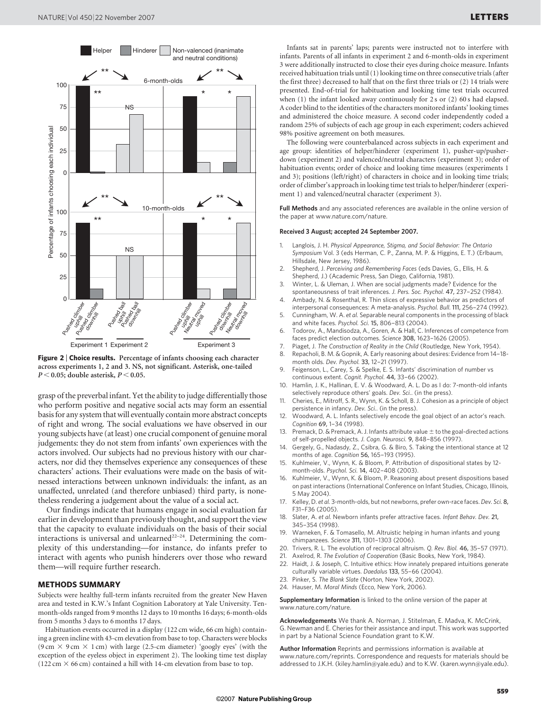

Figure 2 | Choice results. Percentage of infants choosing each character across experiments 1, 2 and 3. NS, not significant. Asterisk, one-tailed  $P < 0.05$ ; double asterisk,  $P < 0.05$ .

grasp of the preverbal infant. Yet the ability to judge differentially those who perform positive and negative social acts may form an essential basis for any system that will eventually contain more abstract concepts of right and wrong. The social evaluations we have observed in our young subjects have (at least) one crucial component of genuine moral judgements: they do not stem from infants' own experiences with the actors involved. Our subjects had no previous history with our characters, nor did they themselves experience any consequences of these characters' actions. Their evaluations were made on the basis of witnessed interactions between unknown individuals: the infant, as an unaffected, unrelated (and therefore unbiased) third party, is nonetheless rendering a judgement about the value of a social act.

Our findings indicate that humans engage in social evaluation far earlier in development than previously thought, and support the view that the capacity to evaluate individuals on the basis of their social interactions is universal and unlearned<sup>22-24</sup>. Determining the complexity of this understanding—for instance, do infants prefer to interact with agents who punish hinderers over those who reward them—will require further research.

## METHODS SUMMARY

Subjects were healthy full-term infants recruited from the greater New Haven area and tested in K.W.'s Infant Cognition Laboratory at Yale University. Tenmonth-olds ranged from 9 months 12 days to 10 months 16 days; 6-month-olds from 5 months 3 days to 6 months 17 days.

Habituation events occurred in a display (122 cm wide, 66 cm high) containing a green incline with 43-cm elevation from base to top. Characters were blocks (9 cm  $\times$  9 cm  $\times$  1 cm) with large (2.5-cm diameter) 'googly eyes' (with the exception of the eyeless object in experiment 2). The looking time test display (122 cm  $\times$  66 cm) contained a hill with 14-cm elevation from base to top.

Infants sat in parents' laps; parents were instructed not to interfere with infants. Parents of all infants in experiment 2 and 6-month-olds in experiment 3 were additionally instructed to close their eyes during choice measure. Infants received habituation trials until (1) looking time on three consecutive trials (after the first three) decreased to half that on the first three trials or (2) 14 trials were presented. End-of-trial for habituation and looking time test trials occurred when (1) the infant looked away continuously for 2 s or (2) 60 s had elapsed. A coder blind to the identities of the characters monitored infants' looking times and administered the choice measure. A second coder independently coded a random 25% of subjects of each age group in each experiment; coders achieved 98% positive agreement on both measures.

The following were counterbalanced across subjects in each experiment and age group: identities of helper/hinderer (experiment 1), pusher-up/pusherdown (experiment 2) and valenced/neutral characters (experiment 3); order of habituation events; order of choice and looking time measures (experiments 1 and 3); positions (left/right) of characters in choice and in looking time trials; order of climber's approach in looking time test trials to helper/hinderer (experiment 1) and valenced/neutral character (experiment 3).

Full Methods and any associated references are available in the online version of the paper at<www.nature.com/nature>.

## Received 3 August; accepted 24 September 2007.

- 1. Langlois, J. H. Physical Appearance, Stigma, and Social Behavior: The Ontario Symposium Vol. 3 (eds Herman, C. P., Zanna, M. P. & Higgins, E. T.) (Erlbaum, Hillsdale, New Jersey, 1986).
- 2. Shepherd, J. Perceiving and Remembering Faces (eds Davies, G., Ellis, H. & Shepherd, J.) (Academic Press, San Diego, California, 1981).
- 3. Winter, L. & Uleman, J. When are social judgments made? Evidence for the spontaneousness of trait inferences. J. Pers. Soc. Psychol. 47, 237–252 (1984).
- 4. Ambady, N. & Rosenthal, R. Thin slices of expressive behavior as predictors of interpersonal consequences: A meta-analysis. Psychol. Bull. 111, 256–274 (1992).
- 5. Cunningham, W. A. et al. Separable neural components in the processing of black and white faces. Psychol. Sci. 15, 806–813 (2004).
- 6. Todorov, A., Mandisodza, A., Goren, A. & Hall, C. Inferences of competence from faces predict election outcomes. Science 308, 1623–1626 (2005).
- 7. Piaget, J. The Construction of Reality in the Child (Routledge, New York, 1954).
- 8. Repacholi, B. M. & Gopnik, A. Early reasoning about desires: Evidence from 14–18 month olds. Dev. Psychol. 33, 12–21 (1997).
- 9. Feigenson, L., Carey, S. & Spelke, E. S. Infants' discrimination of number vs continuous extent. Cognit. Psychol. 44, 33–66 (2002).
- 10. Hamlin, J. K., Hallinan, E. V. & Woodward, A. L. Do as I do: 7-month-old infants selectively reproduce others' goals. Dev. Sci.. (in the press)
- 11. Cheries, E., Mitroff, S. R., Wynn, K. & Scholl, B. J. Cohesion as a principle of object persistence in infancy. Dev. Sci.. (in the press).
- 12. Woodward, A. L. Infants selectively encode the goal object of an actor's reach. Cognition 69, 1–34 (1998).
- 13. Premack, D. & Premack, A. J. Infants attribute value  $\pm$  to the goal-directed actions of self-propelled objects. J. Cogn. Neurosci. 9, 848–856 (1997).
- 14. Gergely, G., Nadasdy, Z., Csibra, G. & Biro, S. Taking the intentional stance at 12 months of age. Cognition 56, 165–193 (1995).
- 15. Kuhlmeier, V., Wynn, K. & Bloom, P. Attribution of dispositional states by 12 month-olds. Psychol. Sci. 14, 402–408 (2003).
- Kuhlmeier, V., Wynn, K. & Bloom, P. Reasoning about present dispositions based on past interactions (International Conference on Infant Studies, Chicago, Illinois, 5 May 2004).
- 17. Kelley, D. et al. 3-month-olds, but not newborns, prefer own-race faces. Dev. Sci. 8, F31–F36 (2005).
- 18. Slater, A. et al. Newborn infants prefer attractive faces. Infant Behav. Dev. 21, 345–354 (1998).
- 19. Warneken, F. & Tomasello, M. Altruistic helping in human infants and young chimpanzees. Science 311, 1301–1303 (2006).
- 20. Trivers, R. L. The evolution of reciprocal altruism. Q. Rev. Biol. 46, 35–57 (1971).
- 21. Axelrod, R. The Evolution of Cooperation (Basic Books, New York, 1984).
- 22. Haidt, J. & Joseph, C. Intuitive ethics: How innately prepared intuitions generate culturally variable virtues. Daedalus 133, 55–66 (2004).
- 23. Pinker, S. The Blank Slate (Norton, New York, 2002).
- 24. Hauser, M. Moral Minds (Ecco, New York, 2006).

Supplementary Information is linked to the online version of the paper at <www.nature.com/nature>.

Acknowledgements We thank A. Norman, J. Stitelman, E. Madva, K. McCrink, G. Newman and E. Cheries for their assistance and input. This work was supported in part by a National Science Foundation grant to K.W.

Author Information Reprints and permissions information is available at <www.nature.com/reprints>. Correspondence and requests for materials should be addressed to J.K.H. [\(kiley.hamlin@yale.edu\)](mailto:kiley.hamlin@yale.edu) and to K.W. [\(karen.wynn@yale.edu\)](mailto:karen.wynn@yale.edu).